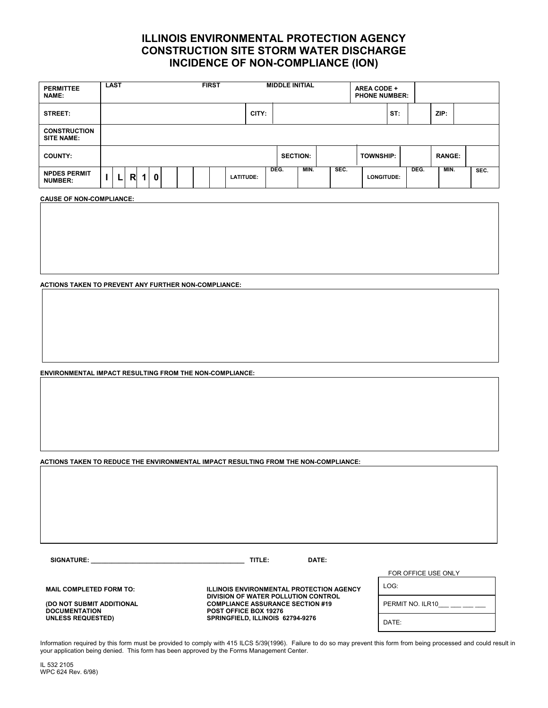## **ILLINOIS ENVIRONMENTAL PROTECTION AGENCY CONSTRUCTION SITE STORM WATER DISCHARGE INCIDENCE OF NON-COMPLIANCE (ION)**

| CITY:<br>ST:<br>ZIP:<br>STREET:                                                                                                                             |      |
|-------------------------------------------------------------------------------------------------------------------------------------------------------------|------|
|                                                                                                                                                             |      |
| <b>CONSTRUCTION</b><br><b>SITE NAME:</b>                                                                                                                    |      |
| <b>RANGE:</b><br><b>SECTION:</b><br><b>TOWNSHIP:</b><br><b>COUNTY:</b>                                                                                      |      |
| DEG.<br>SEC.<br>DEG.<br>MIN.<br>MIN.<br><b>NPDES PERMIT</b><br>$\mathbf{0}$<br>R.<br>$\mathbf{1}$<br><b>LATITUDE:</b><br>LONGITUDE:<br>L.<br><b>NUMBER:</b> | SEC. |

**CAUSE OF NON-COMPLIANCE:** 

**ACTIONS TAKEN TO PREVENT ANY FURTHER NON-COMPLIANCE:** 

**ENVIRONMENTAL IMPACT RESULTING FROM THE NON-COMPLIANCE:** 

**ACTIONS TAKEN TO REDUCE THE ENVIRONMENTAL IMPACT RESULTING FROM THE NON-COMPLIANCE:** 

**SIGNATURE: \_\_\_\_\_\_\_\_\_\_\_\_\_\_\_\_\_\_\_\_\_\_\_\_\_\_\_\_\_\_\_\_\_\_\_\_\_\_\_\_\_\_\_\_ TITLE: DATE:**

**DOCUMENTATION POST OFFICE BOX 19276** 

**MAIL COMPLETED FORM TO: ILLINOIS ENVIRONMENTAL PROTECTION AGENCY DIVISION OF WATER POLLUTION CONTROL (DO NOT SUBMIT ADDITIONAL COMPLIANCE ASSURANCE SECTION #19**  SPRINGFIELD, ILLINOIS 62794-9276

FOR OFFICE USE ONLY

| LOG:             |
|------------------|
| PERMIT NO. ILR10 |
| DATE:            |

Information required by this form must be provided to comply with 415 ILCS 5/39(1996). Failure to do so may prevent this form from being processed and could result in your application being denied. This form has been approved by the Forms Management Center.

IL 532 2105 WPC 624 Rev. 6/98)